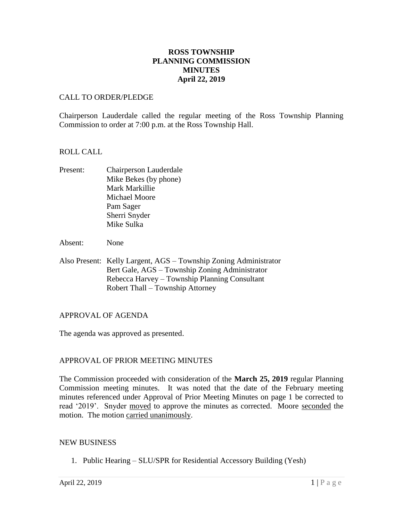## **ROSS TOWNSHIP PLANNING COMMISSION MINUTES April 22, 2019**

### CALL TO ORDER/PLEDGE

Chairperson Lauderdale called the regular meeting of the Ross Township Planning Commission to order at 7:00 p.m. at the Ross Township Hall.

### ROLL CALL

- Present: Chairperson Lauderdale Mike Bekes (by phone) Mark Markillie Michael Moore Pam Sager Sherri Snyder Mike Sulka
- Absent: None
- Also Present: Kelly Largent, AGS Township Zoning Administrator Bert Gale, AGS – Township Zoning Administrator Rebecca Harvey – Township Planning Consultant Robert Thall – Township Attorney

### APPROVAL OF AGENDA

The agenda was approved as presented.

### APPROVAL OF PRIOR MEETING MINUTES

The Commission proceeded with consideration of the **March 25, 2019** regular Planning Commission meeting minutes. It was noted that the date of the February meeting minutes referenced under Approval of Prior Meeting Minutes on page 1 be corrected to read '2019'. Snyder moved to approve the minutes as corrected. Moore seconded the motion. The motion carried unanimously.

### NEW BUSINESS

1. Public Hearing – SLU/SPR for Residential Accessory Building (Yesh)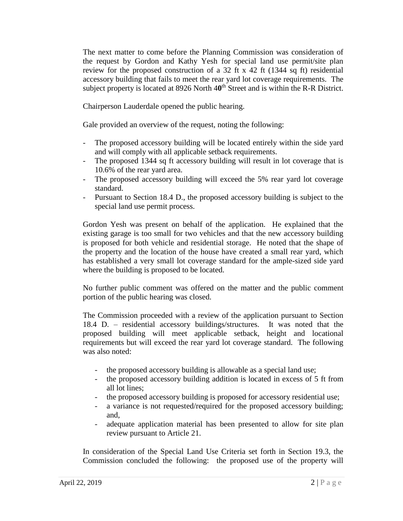The next matter to come before the Planning Commission was consideration of the request by Gordon and Kathy Yesh for special land use permit/site plan review for the proposed construction of a 32 ft x 42 ft (1344 sq ft) residential accessory building that fails to meet the rear yard lot coverage requirements. The subject property is located at 8926 North 40<sup>th</sup> Street and is within the R-R District.

Chairperson Lauderdale opened the public hearing.

Gale provided an overview of the request, noting the following:

- The proposed accessory building will be located entirely within the side yard and will comply with all applicable setback requirements.
- The proposed 1344 sq ft accessory building will result in lot coverage that is 10.6% of the rear yard area.
- The proposed accessory building will exceed the 5% rear yard lot coverage standard.
- Pursuant to Section 18.4 D., the proposed accessory building is subject to the special land use permit process.

Gordon Yesh was present on behalf of the application. He explained that the existing garage is too small for two vehicles and that the new accessory building is proposed for both vehicle and residential storage. He noted that the shape of the property and the location of the house have created a small rear yard, which has established a very small lot coverage standard for the ample-sized side yard where the building is proposed to be located.

No further public comment was offered on the matter and the public comment portion of the public hearing was closed.

The Commission proceeded with a review of the application pursuant to Section 18.4 D. – residential accessory buildings/structures. It was noted that the proposed building will meet applicable setback, height and locational requirements but will exceed the rear yard lot coverage standard. The following was also noted:

- the proposed accessory building is allowable as a special land use;
- the proposed accessory building addition is located in excess of 5 ft from all lot lines;
- the proposed accessory building is proposed for accessory residential use;
- a variance is not requested/required for the proposed accessory building; and,
- adequate application material has been presented to allow for site plan review pursuant to Article 21.

In consideration of the Special Land Use Criteria set forth in Section 19.3, the Commission concluded the following: the proposed use of the property will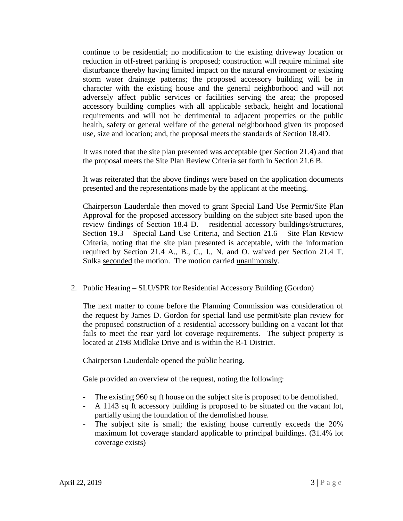continue to be residential; no modification to the existing driveway location or reduction in off-street parking is proposed; construction will require minimal site disturbance thereby having limited impact on the natural environment or existing storm water drainage patterns; the proposed accessory building will be in character with the existing house and the general neighborhood and will not adversely affect public services or facilities serving the area; the proposed accessory building complies with all applicable setback, height and locational requirements and will not be detrimental to adjacent properties or the public health, safety or general welfare of the general neighborhood given its proposed use, size and location; and, the proposal meets the standards of Section 18.4D.

It was noted that the site plan presented was acceptable (per Section 21.4) and that the proposal meets the Site Plan Review Criteria set forth in Section 21.6 B.

It was reiterated that the above findings were based on the application documents presented and the representations made by the applicant at the meeting.

Chairperson Lauderdale then moved to grant Special Land Use Permit/Site Plan Approval for the proposed accessory building on the subject site based upon the review findings of Section 18.4 D. – residential accessory buildings/structures, Section 19.3 – Special Land Use Criteria, and Section 21.6 – Site Plan Review Criteria, noting that the site plan presented is acceptable, with the information required by Section 21.4 A., B., C., I., N. and O. waived per Section 21.4 T. Sulka seconded the motion. The motion carried unanimously.

2. Public Hearing – SLU/SPR for Residential Accessory Building (Gordon)

The next matter to come before the Planning Commission was consideration of the request by James D. Gordon for special land use permit/site plan review for the proposed construction of a residential accessory building on a vacant lot that fails to meet the rear yard lot coverage requirements. The subject property is located at 2198 Midlake Drive and is within the R-1 District.

Chairperson Lauderdale opened the public hearing.

Gale provided an overview of the request, noting the following:

- The existing 960 sq ft house on the subject site is proposed to be demolished.
- A 1143 sq ft accessory building is proposed to be situated on the vacant lot, partially using the foundation of the demolished house.
- The subject site is small; the existing house currently exceeds the 20% maximum lot coverage standard applicable to principal buildings. (31.4% lot coverage exists)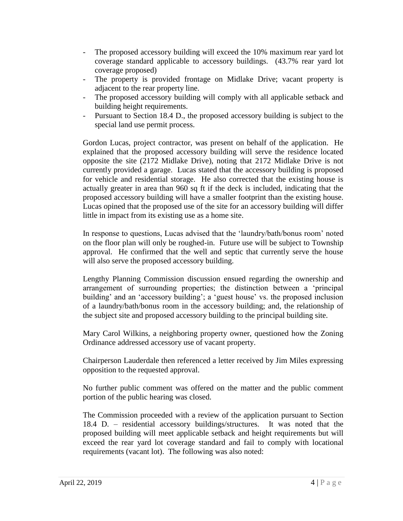- The proposed accessory building will exceed the 10% maximum rear yard lot coverage standard applicable to accessory buildings. (43.7% rear yard lot coverage proposed)
- The property is provided frontage on Midlake Drive; vacant property is adjacent to the rear property line.
- The proposed accessory building will comply with all applicable setback and building height requirements.
- Pursuant to Section 18.4 D., the proposed accessory building is subject to the special land use permit process.

Gordon Lucas, project contractor, was present on behalf of the application. He explained that the proposed accessory building will serve the residence located opposite the site (2172 Midlake Drive), noting that 2172 Midlake Drive is not currently provided a garage. Lucas stated that the accessory building is proposed for vehicle and residential storage. He also corrected that the existing house is actually greater in area than 960 sq ft if the deck is included, indicating that the proposed accessory building will have a smaller footprint than the existing house. Lucas opined that the proposed use of the site for an accessory building will differ little in impact from its existing use as a home site.

In response to questions, Lucas advised that the 'laundry/bath/bonus room' noted on the floor plan will only be roughed-in. Future use will be subject to Township approval. He confirmed that the well and septic that currently serve the house will also serve the proposed accessory building.

Lengthy Planning Commission discussion ensued regarding the ownership and arrangement of surrounding properties; the distinction between a 'principal building' and an 'accessory building'; a 'guest house' vs. the proposed inclusion of a laundry/bath/bonus room in the accessory building; and, the relationship of the subject site and proposed accessory building to the principal building site.

Mary Carol Wilkins, a neighboring property owner, questioned how the Zoning Ordinance addressed accessory use of vacant property.

Chairperson Lauderdale then referenced a letter received by Jim Miles expressing opposition to the requested approval.

No further public comment was offered on the matter and the public comment portion of the public hearing was closed.

The Commission proceeded with a review of the application pursuant to Section 18.4 D. – residential accessory buildings/structures. It was noted that the proposed building will meet applicable setback and height requirements but will exceed the rear yard lot coverage standard and fail to comply with locational requirements (vacant lot). The following was also noted: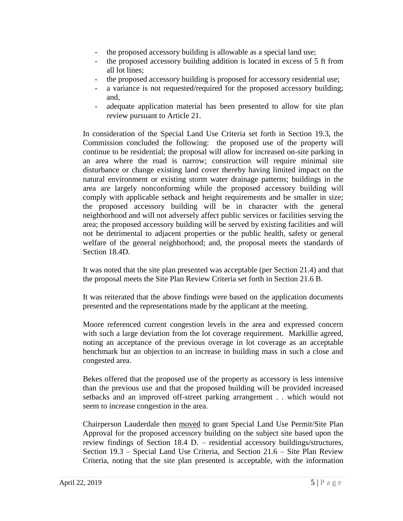- the proposed accessory building is allowable as a special land use;
- the proposed accessory building addition is located in excess of 5 ft from all lot lines;
- the proposed accessory building is proposed for accessory residential use;
- a variance is not requested/required for the proposed accessory building; and,
- adequate application material has been presented to allow for site plan review pursuant to Article 21.

In consideration of the Special Land Use Criteria set forth in Section 19.3, the Commission concluded the following: the proposed use of the property will continue to be residential; the proposal will allow for increased on-site parking in an area where the road is narrow; construction will require minimal site disturbance or change existing land cover thereby having limited impact on the natural environment or existing storm water drainage patterns; buildings in the area are largely nonconforming while the proposed accessory building will comply with applicable setback and height requirements and be smaller in size; the proposed accessory building will be in character with the general neighborhood and will not adversely affect public services or facilities serving the area; the proposed accessory building will be served by existing facilities and will not be detrimental to adjacent properties or the public health, safety or general welfare of the general neighborhood; and, the proposal meets the standards of Section 18.4D.

It was noted that the site plan presented was acceptable (per Section 21.4) and that the proposal meets the Site Plan Review Criteria set forth in Section 21.6 B.

It was reiterated that the above findings were based on the application documents presented and the representations made by the applicant at the meeting.

Moore referenced current congestion levels in the area and expressed concern with such a large deviation from the lot coverage requirement. Markillie agreed, noting an acceptance of the previous overage in lot coverage as an acceptable benchmark but an objection to an increase in building mass in such a close and congested area.

Bekes offered that the proposed use of the property as accessory is less intensive than the previous use and that the proposed building will be provided increased setbacks and an improved off-street parking arrangement . . which would not seem to increase congestion in the area.

Chairperson Lauderdale then moved to grant Special Land Use Permit/Site Plan Approval for the proposed accessory building on the subject site based upon the review findings of Section 18.4 D. – residential accessory buildings/structures, Section 19.3 – Special Land Use Criteria, and Section 21.6 – Site Plan Review Criteria, noting that the site plan presented is acceptable, with the information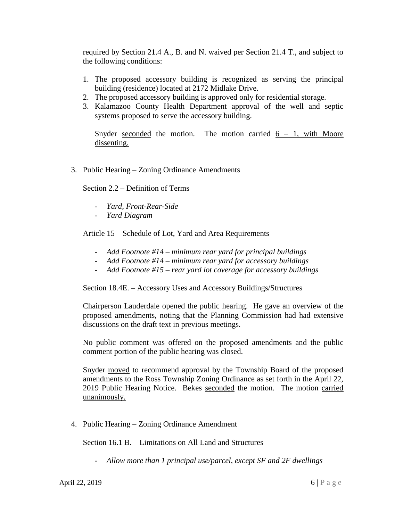required by Section 21.4 A., B. and N. waived per Section 21.4 T., and subject to the following conditions:

- 1. The proposed accessory building is recognized as serving the principal building (residence) located at 2172 Midlake Drive.
- 2. The proposed accessory building is approved only for residential storage.
- 3. Kalamazoo County Health Department approval of the well and septic systems proposed to serve the accessory building.

Snyder seconded the motion. The motion carried  $6 - 1$ , with Moore dissenting.

3. Public Hearing – Zoning Ordinance Amendments

Section 2.2 – Definition of Terms

- *Yard, Front-Rear-Side*
- *Yard Diagram*

Article 15 – Schedule of Lot, Yard and Area Requirements

- *Add Footnote #14 – minimum rear yard for principal buildings*
- *Add Footnote #14 – minimum rear yard for accessory buildings*
- *Add Footnote #15 – rear yard lot coverage for accessory buildings*

Section 18.4E. – Accessory Uses and Accessory Buildings/Structures

Chairperson Lauderdale opened the public hearing. He gave an overview of the proposed amendments, noting that the Planning Commission had had extensive discussions on the draft text in previous meetings.

No public comment was offered on the proposed amendments and the public comment portion of the public hearing was closed.

Snyder moved to recommend approval by the Township Board of the proposed amendments to the Ross Township Zoning Ordinance as set forth in the April 22, 2019 Public Hearing Notice. Bekes seconded the motion. The motion carried unanimously.

4. Public Hearing – Zoning Ordinance Amendment

Section 16.1 B. – Limitations on All Land and Structures

- *Allow more than 1 principal use/parcel, except SF and 2F dwellings*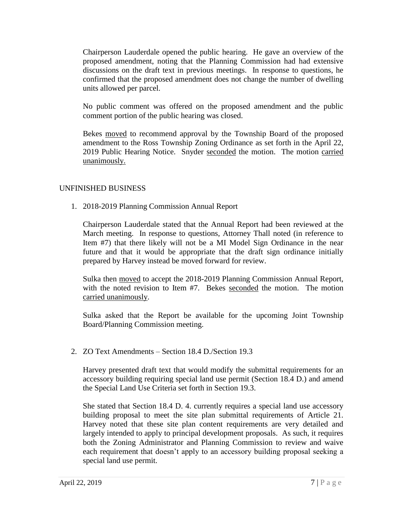Chairperson Lauderdale opened the public hearing. He gave an overview of the proposed amendment, noting that the Planning Commission had had extensive discussions on the draft text in previous meetings. In response to questions, he confirmed that the proposed amendment does not change the number of dwelling units allowed per parcel.

No public comment was offered on the proposed amendment and the public comment portion of the public hearing was closed.

Bekes moved to recommend approval by the Township Board of the proposed amendment to the Ross Township Zoning Ordinance as set forth in the April 22, 2019 Public Hearing Notice. Snyder seconded the motion. The motion carried unanimously.

## UNFINISHED BUSINESS

1. 2018-2019 Planning Commission Annual Report

Chairperson Lauderdale stated that the Annual Report had been reviewed at the March meeting. In response to questions, Attorney Thall noted (in reference to Item #7) that there likely will not be a MI Model Sign Ordinance in the near future and that it would be appropriate that the draft sign ordinance initially prepared by Harvey instead be moved forward for review.

Sulka then moved to accept the 2018-2019 Planning Commission Annual Report, with the noted revision to Item #7. Bekes seconded the motion. The motion carried unanimously.

Sulka asked that the Report be available for the upcoming Joint Township Board/Planning Commission meeting.

2. ZO Text Amendments – Section 18.4 D./Section 19.3

Harvey presented draft text that would modify the submittal requirements for an accessory building requiring special land use permit (Section 18.4 D.) and amend the Special Land Use Criteria set forth in Section 19.3.

She stated that Section 18.4 D. 4. currently requires a special land use accessory building proposal to meet the site plan submittal requirements of Article 21. Harvey noted that these site plan content requirements are very detailed and largely intended to apply to principal development proposals. As such, it requires both the Zoning Administrator and Planning Commission to review and waive each requirement that doesn't apply to an accessory building proposal seeking a special land use permit.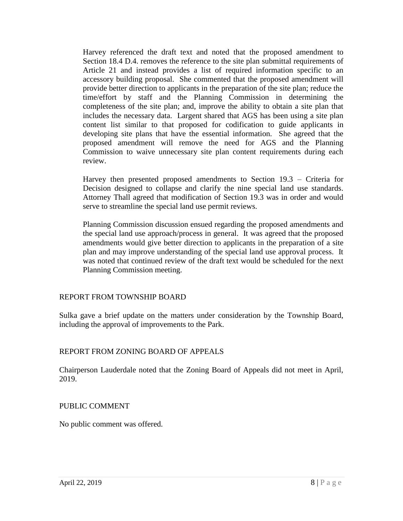Harvey referenced the draft text and noted that the proposed amendment to Section 18.4 D.4. removes the reference to the site plan submittal requirements of Article 21 and instead provides a list of required information specific to an accessory building proposal. She commented that the proposed amendment will provide better direction to applicants in the preparation of the site plan; reduce the time/effort by staff and the Planning Commission in determining the completeness of the site plan; and, improve the ability to obtain a site plan that includes the necessary data. Largent shared that AGS has been using a site plan content list similar to that proposed for codification to guide applicants in developing site plans that have the essential information. She agreed that the proposed amendment will remove the need for AGS and the Planning Commission to waive unnecessary site plan content requirements during each review.

Harvey then presented proposed amendments to Section 19.3 – Criteria for Decision designed to collapse and clarify the nine special land use standards. Attorney Thall agreed that modification of Section 19.3 was in order and would serve to streamline the special land use permit reviews.

Planning Commission discussion ensued regarding the proposed amendments and the special land use approach/process in general. It was agreed that the proposed amendments would give better direction to applicants in the preparation of a site plan and may improve understanding of the special land use approval process. It was noted that continued review of the draft text would be scheduled for the next Planning Commission meeting.

### REPORT FROM TOWNSHIP BOARD

Sulka gave a brief update on the matters under consideration by the Township Board, including the approval of improvements to the Park.

### REPORT FROM ZONING BOARD OF APPEALS

Chairperson Lauderdale noted that the Zoning Board of Appeals did not meet in April, 2019.

### PUBLIC COMMENT

No public comment was offered.